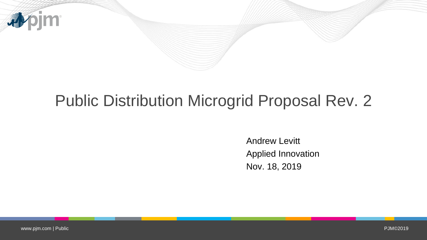

# Public Distribution Microgrid Proposal Rev. 2

Andrew Levitt Applied Innovation Nov. 18, 2019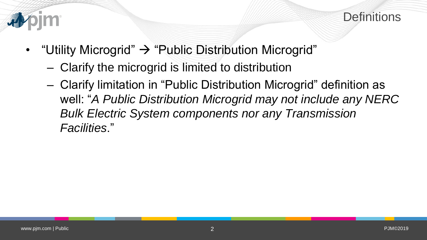



- "Utility Microgrid"  $\rightarrow$  "Public Distribution Microgrid"
	- Clarify the microgrid is limited to distribution
	- Clarify limitation in "Public Distribution Microgrid" definition as well: "*A Public Distribution Microgrid may not include any NERC Bulk Electric System components nor any Transmission Facilities*."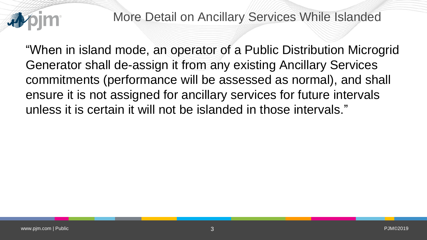

More Detail on Ancillary Services While Islanded

"When in island mode, an operator of a Public Distribution Microgrid Generator shall de-assign it from any existing Ancillary Services commitments (performance will be assessed as normal), and shall ensure it is not assigned for ancillary services for future intervals unless it is certain it will not be islanded in those intervals."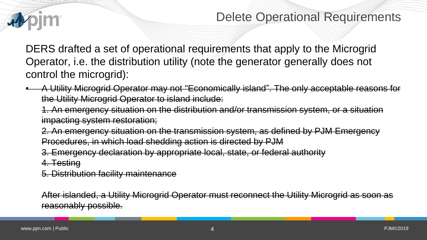

# Delete Operational Requirements

DERS drafted a set of operational requirements that apply to the Microgrid Operator, i.e. the distribution utility (note the generator generally does not control the microgrid):

• A Utility Microgrid Operator may not "Economically island". The only acceptable reasons for the Utility Microgrid Operator to island include:

1. An emergency situation on the distribution and/or transmission system, or a situation impacting system restoration;

2. An emergency situation on the transmission system, as defined by PJM Emergency Procedures, in which load shedding action is directed by PJM

3. Emergency declaration by appropriate local, state, or federal authority

4. Testing

5. Distribution facility maintenance

After islanded, a Utility Microgrid Operator must reconnect the Utility Microgrid as soon as reasonably possible.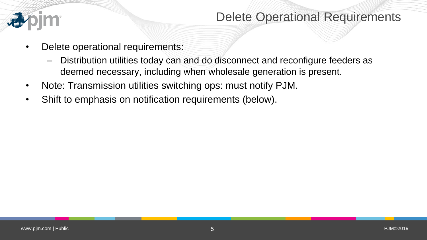

## Delete Operational Requirements

- Delete operational requirements:
	- Distribution utilities today can and do disconnect and reconfigure feeders as deemed necessary, including when wholesale generation is present.
- Note: Transmission utilities switching ops: must notify PJM.
- Shift to emphasis on notification requirements (below).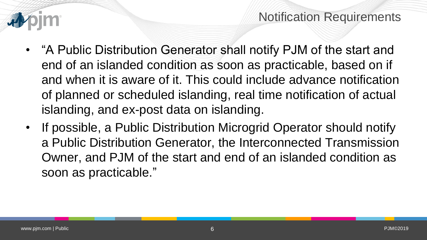# Notification Requirements

- "A Public Distribution Generator shall notify PJM of the start and end of an islanded condition as soon as practicable, based on if and when it is aware of it. This could include advance notification of planned or scheduled islanding, real time notification of actual islanding, and ex-post data on islanding.
- If possible, a Public Distribution Microgrid Operator should notify a Public Distribution Generator, the Interconnected Transmission Owner, and PJM of the start and end of an islanded condition as soon as practicable."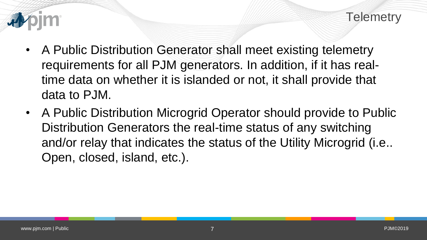

- A Public Distribution Generator shall meet existing telemetry requirements for all PJM generators. In addition, if it has realtime data on whether it is islanded or not, it shall provide that data to PJM.
- A Public Distribution Microgrid Operator should provide to Public Distribution Generators the real-time status of any switching and/or relay that indicates the status of the Utility Microgrid (i.e.. Open, closed, island, etc.).